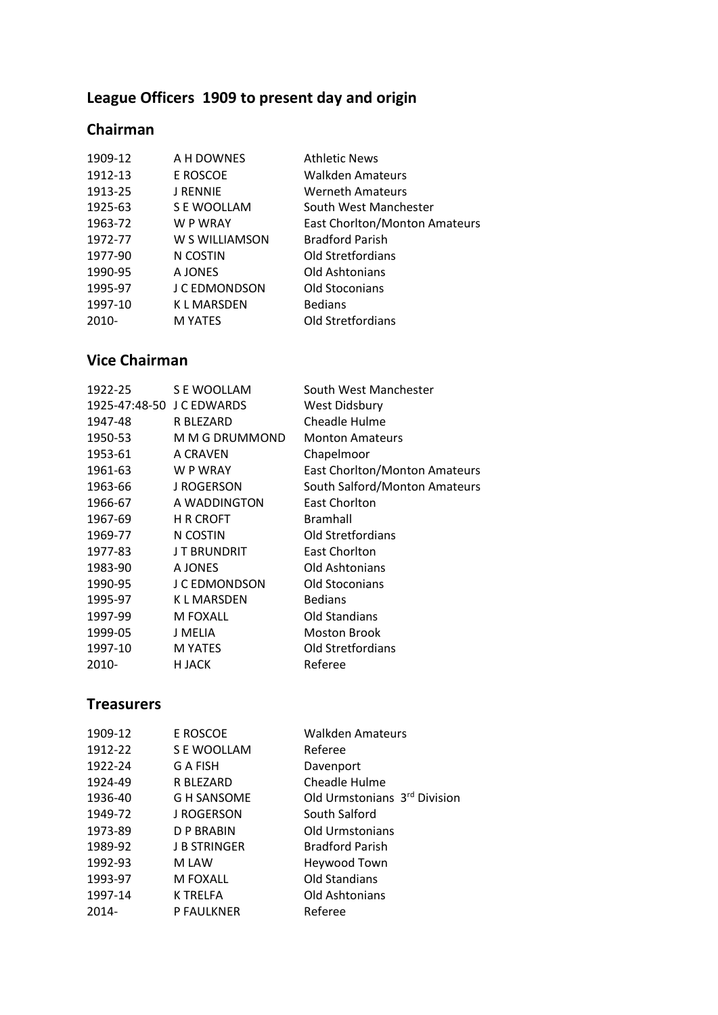# **League Officers 1909 to present day and origin**

## **Chairman**

| 1909-12  | A H DOWNES       | <b>Athletic News</b>                 |
|----------|------------------|--------------------------------------|
| 1912-13  | E ROSCOE         | Walkden Amateurs                     |
| 1913-25  | <b>J RENNIE</b>  | <b>Werneth Amateurs</b>              |
| 1925-63  | S E WOOLLAM      | South West Manchester                |
| 1963-72  | W P WRAY         | <b>East Chorlton/Monton Amateurs</b> |
| 1972-77  | W S WILLIAMSON   | <b>Bradford Parish</b>               |
| 1977-90  | N COSTIN         | Old Stretfordians                    |
| 1990-95  | A JONES          | Old Ashtonians                       |
| 1995-97  | J C EDMONDSON    | Old Stoconians                       |
| 1997-10  | <b>KLMARSDEN</b> | <b>Bedians</b>                       |
| $2010 -$ | <b>M YATES</b>   | Old Stretfordians                    |
|          |                  |                                      |

## **Vice Chairman**

| 1922-25                   | S E WOOLLAM        | South West Manchester                |
|---------------------------|--------------------|--------------------------------------|
| 1925-47:48-50 J C EDWARDS |                    | West Didsbury                        |
| 1947-48                   | R BLEZARD          | Cheadle Hulme                        |
| 1950-53                   | M M G DRUMMOND     | <b>Monton Amateurs</b>               |
| 1953-61                   | A CRAVEN           | Chapelmoor                           |
| 1961-63                   | W P WRAY           | <b>East Chorlton/Monton Amateurs</b> |
| 1963-66                   | <b>J ROGERSON</b>  | South Salford/Monton Amateurs        |
| 1966-67                   | A WADDINGTON       | East Chorlton                        |
| 1967-69                   | <b>H R CROFT</b>   | <b>Bramhall</b>                      |
| 1969-77                   | N COSTIN           | <b>Old Stretfordians</b>             |
| 1977-83                   | <b>JT BRUNDRIT</b> | East Chorlton                        |
| 1983-90                   | A JONES            | Old Ashtonians                       |
| 1990-95                   | J C EDMONDSON      | Old Stoconians                       |
| 1995-97                   | <b>KLMARSDEN</b>   | <b>Bedians</b>                       |
| 1997-99                   | M FOXALL           | Old Standians                        |
| 1999-05                   | J MELIA            | <b>Moston Brook</b>                  |
| 1997-10                   | <b>M YATES</b>     | Old Stretfordians                    |
| 2010-                     | H JACK             | Referee                              |

#### **Treasurers**

| 1909-12 | E ROSCOE            | <b>Walkden Amateurs</b>      |
|---------|---------------------|------------------------------|
| 1912-22 | S E WOOLLAM         | Referee                      |
| 1922-24 | G A FISH            | Davenport                    |
| 1924-49 | R BLEZARD           | Cheadle Hulme                |
| 1936-40 | G H SANSOME         | Old Urmstonians 3rd Division |
| 1949-72 | J ROGERSON          | South Salford                |
| 1973-89 | D P BRABIN          | <b>Old Urmstonians</b>       |
| 1989-92 | <b>J B STRINGER</b> | <b>Bradford Parish</b>       |
| 1992-93 | M LAW               | Heywood Town                 |
| 1993-97 | <b>M FOXALL</b>     | Old Standians                |
| 1997-14 | <b>K TRELFA</b>     | Old Ashtonians               |
| 2014-   | <b>P FAULKNER</b>   | Referee                      |